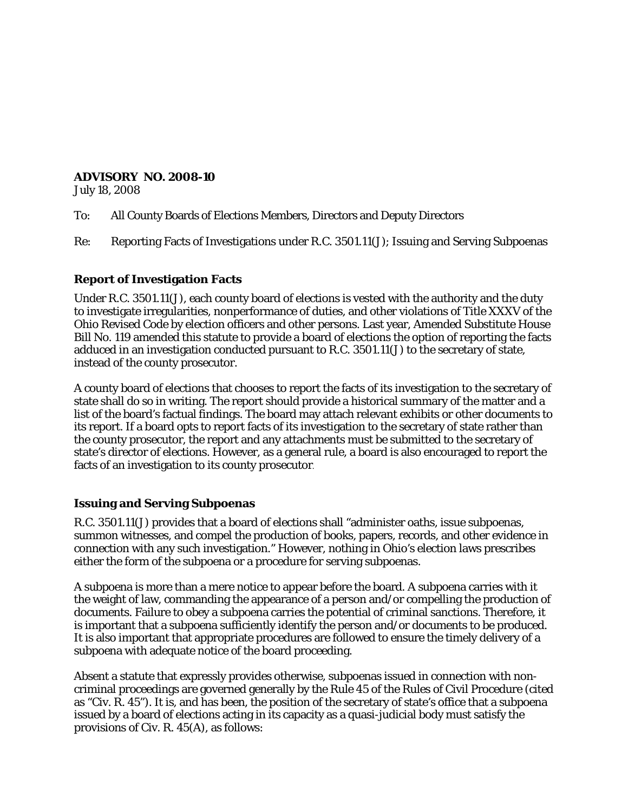## **ADVISORY NO. 2008-10**

July 18, 2008

- To: All County Boards of Elections Members, Directors and Deputy Directors
- Re: Reporting Facts of Investigations under R.C. 3501.11(J); Issuing and Serving Subpoenas

## **Report of Investigation Facts**

Under R.C. 3501.11(J), each county board of elections is vested with the authority and the duty to investigate irregularities, nonperformance of duties, and other violations of Title XXXV of the Ohio Revised Code by election officers and other persons. Last year, Amended Substitute House Bill No. 119 amended this statute to provide a board of elections the option of reporting the facts adduced in an investigation conducted pursuant to R.C. 3501.11(J) to the secretary of state, instead of the county prosecutor.

A county board of elections that chooses to report the facts of its investigation to the secretary of state shall do so in writing. The report should provide a historical summary of the matter and a list of the board's factual findings. The board may attach relevant exhibits or other documents to its report. If a board opts to report facts of its investigation to the secretary of state rather than the county prosecutor, the report and any attachments must be submitted to the secretary of state's director of elections. However, as a general rule, a board is also encouraged to report the facts of an investigation to its county prosecutor.

## **Issuing and Serving Subpoenas**

R.C. 3501.11(J) provides that a board of elections shall "administer oaths, issue subpoenas, summon witnesses, and compel the production of books, papers, records, and other evidence in connection with any such investigation." However, nothing in Ohio's election laws prescribes either the form of the subpoena or a procedure for serving subpoenas.

A subpoena is more than a mere notice to appear before the board. A subpoena carries with it the weight of law, commanding the appearance of a person and/or compelling the production of documents. Failure to obey a subpoena carries the potential of criminal sanctions. Therefore, it is important that a subpoena sufficiently identify the person and/or documents to be produced. It is also important that appropriate procedures are followed to ensure the timely delivery of a subpoena with adequate notice of the board proceeding.

Absent a statute that expressly provides otherwise, subpoenas issued in connection with noncriminal proceedings are governed generally by the Rule 45 of the Rules of Civil Procedure (cited as "Civ. R. 45"). It is, and has been, the position of the secretary of state's office that a subpoena issued by a board of elections acting in its capacity as a quasi-judicial body must satisfy the provisions of Civ. R. 45(A), as follows: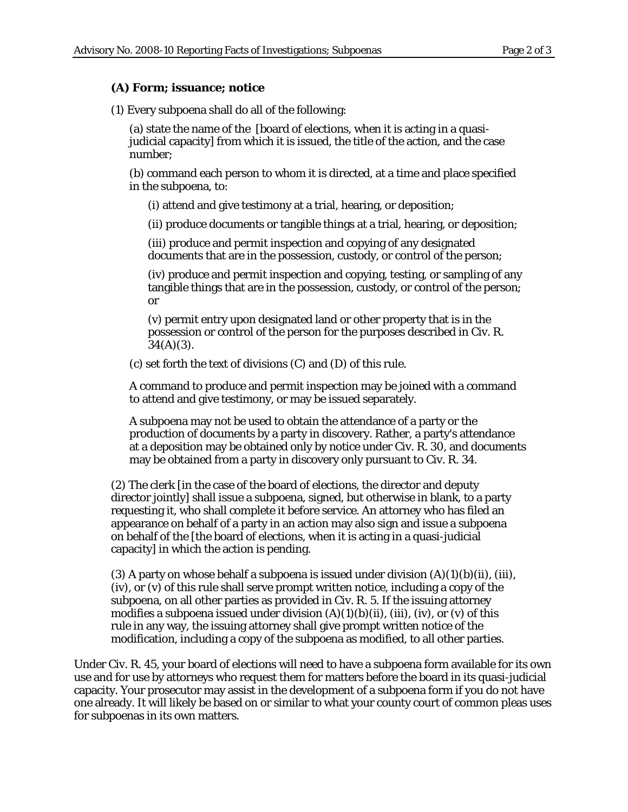## **(A) Form; issuance; notice**

(1) Every subpoena shall do all of the following:

(a) state the name of the [board of elections, when it is acting in a quasijudicial capacity] from which it is issued, the title of the action, and the case number;

(b) command each person to whom it is directed, at a time and place specified in the subpoena, to:

(i) attend and give testimony at a trial, hearing, or deposition;

(ii) produce documents or tangible things at a trial, hearing, or deposition;

(iii) produce and permit inspection and copying of any designated documents that are in the possession, custody, or control of the person;

(iv) produce and permit inspection and copying, testing, or sampling of any tangible things that are in the possession, custody, or control of the person; or

(v) permit entry upon designated land or other property that is in the possession or control of the person for the purposes described in [Civ. R.](http://web2.westlaw.com/find/default.wl?vc=0&rp=%2ffind%2fdefault.wl&DB=1000279&DocName=OHSTRCPR34&FindType=L&AP=&fn=_top&utid=%7b72EE26E9-F191-4038-B40C-37BBC3C52645%7d&rs=WLW8.05&mt=Ohio&vr=2.0&sv=Split)   $34(A)(3)$ .

(c) set forth the text of divisions (C) and (D) of this rule.

A command to produce and permit inspection may be joined with a command to attend and give testimony, or may be issued separately.

A subpoena may not be used to obtain the attendance of a party or the production of documents by a party in discovery. Rather, a party's attendance at a deposition may be obtained only by notice under [Civ. R. 30,](http://web2.westlaw.com/find/default.wl?vc=0&rp=%2ffind%2fdefault.wl&DB=1000279&DocName=OHSTRCPR30&FindType=L&AP=&fn=_top&utid=%7b72EE26E9-F191-4038-B40C-37BBC3C52645%7d&rs=WLW8.05&mt=Ohio&vr=2.0&sv=Split) and documents may be obtained from a party in discovery only pursuant to [Civ. R. 34.](http://web2.westlaw.com/find/default.wl?vc=0&rp=%2ffind%2fdefault.wl&DB=1000279&DocName=OHSTRCPR34&FindType=L&AP=&fn=_top&utid=%7b72EE26E9-F191-4038-B40C-37BBC3C52645%7d&rs=WLW8.05&mt=Ohio&vr=2.0&sv=Split)

(2) The clerk [in the case of the board of elections, the director and deputy director jointly] shall issue a subpoena, signed, but otherwise in blank, to a party requesting it, who shall complete it before service. An attorney who has filed an appearance on behalf of a party in an action may also sign and issue a subpoena on behalf of the [the board of elections, when it is acting in a quasi-judicial capacity] in which the action is pending.

(3) A party on whose behalf a subpoena is issued under division  $(A)(1)(b)(ii)$ , (iii), (iv), or (v) of this rule shall serve prompt written notice, including a copy of the subpoena, on all other parties as provided in [Civ. R. 5.](http://web2.westlaw.com/find/default.wl?vc=0&rp=%2ffind%2fdefault.wl&DB=1000279&DocName=OHSTRCPR5&FindType=L&AP=&fn=_top&utid=%7b72EE26E9-F191-4038-B40C-37BBC3C52645%7d&rs=WLW8.05&mt=Ohio&vr=2.0&sv=Split) If the issuing attorney modifies a subpoena issued under division  $(A)(1)(b)(ii)$ , (iii), (iv), or (v) of this rule in any way, the issuing attorney shall give prompt written notice of the modification, including a copy of the subpoena as modified, to all other parties.

Under Civ. R. 45, your board of elections will need to have a subpoena form available for its own use and for use by attorneys who request them for matters before the board in its quasi-judicial capacity. Your prosecutor may assist in the development of a subpoena form if you do not have one already. It will likely be based on or similar to what your county court of common pleas uses for subpoenas in its own matters.